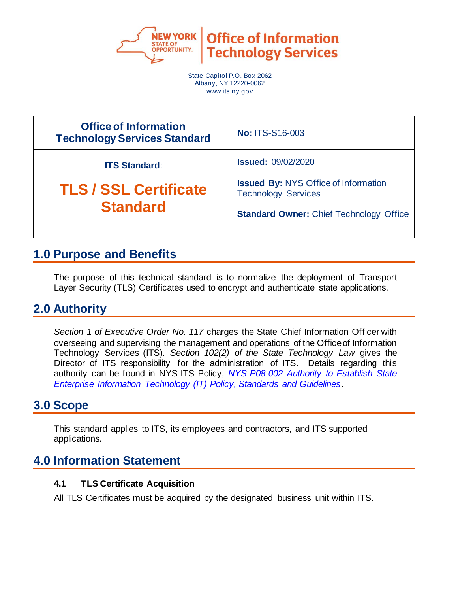

**Office of Information Technology Services** 

State Capitol P.O. Box 2062 Albany, NY 12220-0062 www.its.ny.gov

| <b>Office of Information</b><br><b>Technology Services Standard</b>     | <b>No: ITS-S16-003</b>                                                    |
|-------------------------------------------------------------------------|---------------------------------------------------------------------------|
| <b>ITS Standard:</b><br><b>TLS / SSL Certificate</b><br><b>Standard</b> | <b>Issued: 09/02/2020</b>                                                 |
|                                                                         | <b>Issued By: NYS Office of Information</b><br><b>Technology Services</b> |
|                                                                         | <b>Standard Owner: Chief Technology Office</b>                            |
|                                                                         |                                                                           |

## **1.0 Purpose and Benefits**

The purpose of this technical standard is to normalize the deployment of Transport Layer Security (TLS) Certificates used to encrypt and authenticate state applications.

### **2.0 Authority**

*Section 1 of Executive Order No. 117* charges the State Chief Information Officer with overseeing and supervising the management and operations of the Office of Information Technology Services (ITS)*. Section 102(2) of the State Technology Law* gives the Director of ITS responsibility for the administration of ITS. Details regarding this authority can be found in NYS ITS Policy, *[NYS-P08-002 Authority to Establish State](https://its.ny.gov/document/authority-establish-state-enterprise-information-technology-it-policy-standards-and-guidelines)  [Enterprise Information Technology \(IT\) Policy, Standards and Guidelines.](https://its.ny.gov/document/authority-establish-state-enterprise-information-technology-it-policy-standards-and-guidelines)*

### **3.0 Scope**

This standard applies to ITS, its employees and contractors, and ITS supported applications.

## **4.0 Information Statement**

### **4.1 TLS Certificate Acquisition**

All TLS Certificates must be acquired by the designated business unit within ITS.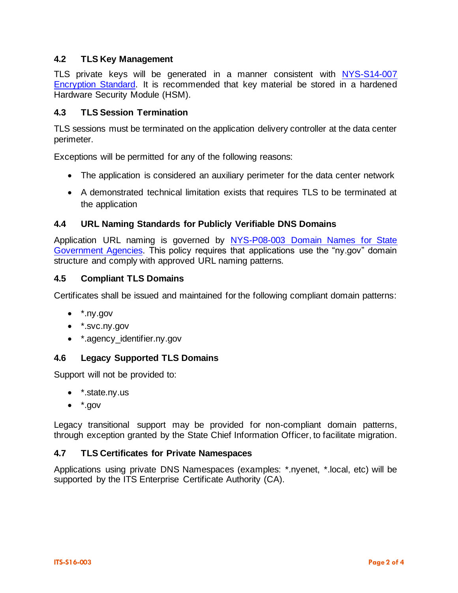### **4.2 TLS Key Management**

TLS private keys will be generated in a manner consistent with NYS-S14-007 [Encryption Standard.](https://its.ny.gov/document/encryption-standard-0) It is recommended that key material be stored in a hardened Hardware Security Module (HSM).

### **4.3 TLS Session Termination**

TLS sessions must be terminated on the application delivery controller at the data center perimeter.

Exceptions will be permitted for any of the following reasons:

- The application is considered an auxiliary perimeter for the data center network
- A demonstrated technical limitation exists that requires TLS to be terminated at the application

#### **4.4 URL Naming Standards for Publicly Verifiable DNS Domains**

Application URL naming is governed by [NYS-P08-003 Domain Names for State](https://its.ny.gov/document/domain-names-state-government-agencies)  [Government Agencies.](https://its.ny.gov/document/domain-names-state-government-agencies) This policy requires that applications use the "ny.gov" domain structure and comply with approved URL naming patterns.

#### **4.5 Compliant TLS Domains**

Certificates shall be issued and maintained for the following compliant domain patterns:

- $\bullet$   $*$ .nv.gov
- \*.svc.ny.gov
- \* agency\_identifier.ny.gov

### **4.6 Legacy Supported TLS Domains**

Support will not be provided to:

- \*.state.ny.us
- $\bullet$   $*$ .gov

Legacy transitional support may be provided for non-compliant domain patterns, through exception granted by the State Chief Information Officer, to facilitate migration.

#### **4.7 TLS Certificates for Private Namespaces**

Applications using private DNS Namespaces (examples: \*.nyenet, \*.local, etc) will be supported by the ITS Enterprise Certificate Authority (CA).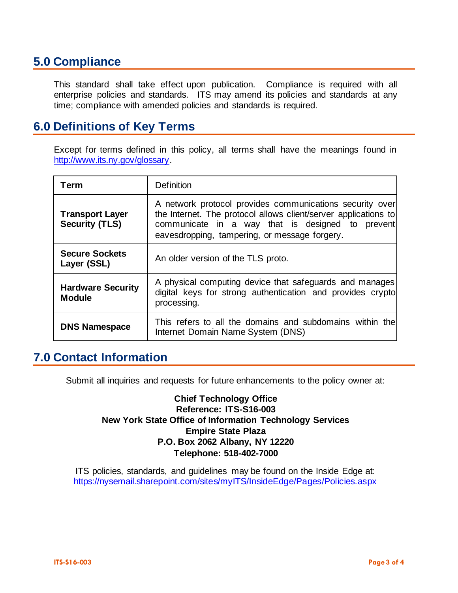## **5.0 Compliance**

This standard shall take effect upon publication. Compliance is required with all enterprise policies and standards. ITS may amend its policies and standards at any time; compliance with amended policies and standards is required.

## **6.0 Definitions of Key Terms**

Except for terms defined in this policy, all terms shall have the meanings found in [http://www.its.ny.gov/glossary.](http://www.its.ny.gov/glossary)

| Term                                            | <b>Definition</b>                                                                                                                                                                                                                |  |
|-------------------------------------------------|----------------------------------------------------------------------------------------------------------------------------------------------------------------------------------------------------------------------------------|--|
| <b>Transport Layer</b><br><b>Security (TLS)</b> | A network protocol provides communications security over<br>the Internet. The protocol allows client/server applications to<br>communicate in a way that is designed to prevent<br>eavesdropping, tampering, or message forgery. |  |
| <b>Secure Sockets</b><br>Layer (SSL)            | An older version of the TLS proto.                                                                                                                                                                                               |  |
| <b>Hardware Security</b><br><b>Module</b>       | A physical computing device that safeguards and manages<br>digital keys for strong authentication and provides crypto<br>processing.                                                                                             |  |
| <b>DNS Namespace</b>                            | This refers to all the domains and subdomains within the<br>Internet Domain Name System (DNS)                                                                                                                                    |  |

### **7.0 Contact Information**

Submit all inquiries and requests for future enhancements to the policy owner at:

**Chief Technology Office Reference: ITS-S16-003 New York State Office of Information Technology Services Empire State Plaza P.O. Box 2062 Albany, NY 12220 Telephone: 518-402-7000**

ITS policies, standards, and guidelines may be found on the Inside Edge at: <https://nysemail.sharepoint.com/sites/myITS/InsideEdge/Pages/Policies.aspx>